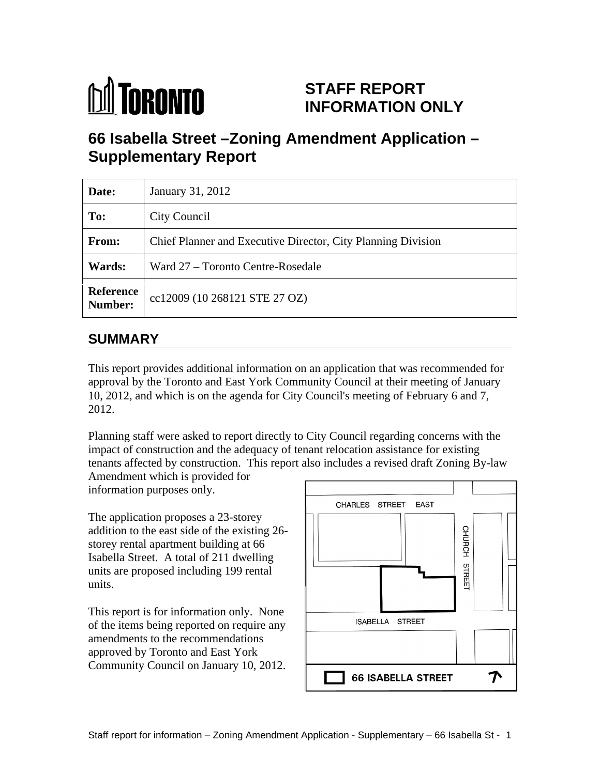

# **STAFF REPORT INFORMATION ONLY**

# **66 Isabella Street –Zoning Amendment Application – Supplementary Report**

| Date:                | January 31, 2012                                             |
|----------------------|--------------------------------------------------------------|
| To:                  | <b>City Council</b>                                          |
| From:                | Chief Planner and Executive Director, City Planning Division |
| Wards:               | Ward 27 - Toronto Centre-Rosedale                            |
| Reference<br>Number: | c   cc12009 (10 268121 STE 27 OZ)                            |

# **SUMMARY**

This report provides additional information on an application that was recommended for approval by the Toronto and East York Community Council at their meeting of January 10, 2012, and which is on the agenda for City Council's meeting of February 6 and 7, 2012.

Planning staff were asked to report directly to City Council regarding concerns with the impact of construction and the adequacy of tenant relocation assistance for existing tenants affected by construction. This report also includes a revised draft Zoning By-law

Amendment which is provided for information purposes only.

The application proposes a 23-storey addition to the east side of the existing 26-<br>storey rental apartment building at 66<br>Joshalla Stroot. A total of 211 dwalling storey rental apartment building at 66 Isabella Street. A total of 211 dwelling<br>units are proposed including 199 rental<br>units. units are proposed including 199 rental

This report is for information only. None of the items being reported on require any amendments to the recommendations approved by Toronto and East York Community Council on January 10, 2012.

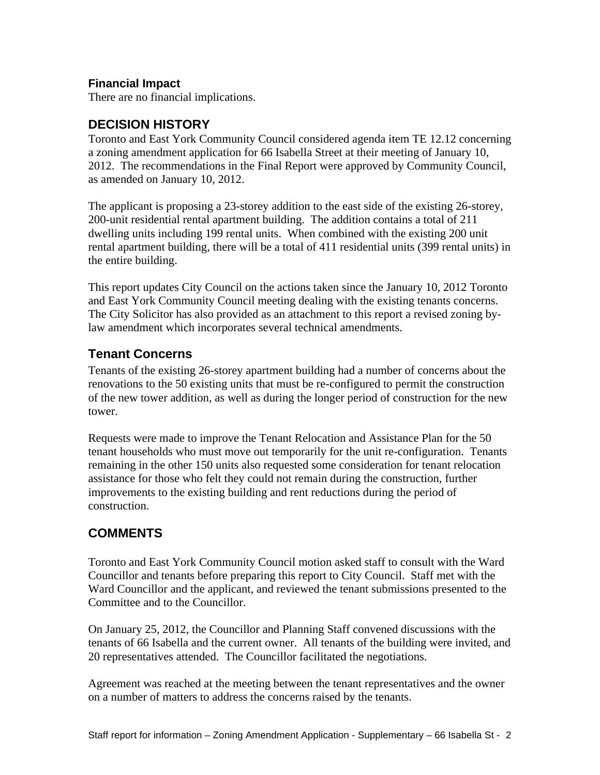### **Financial Impact**

There are no financial implications.

# **DECISION HISTORY**

Toronto and East York Community Council considered agenda item TE 12.12 concerning a zoning amendment application for 66 Isabella Street at their meeting of January 10, 2012. The recommendations in the Final Report were approved by Community Council, as amended on January 10, 2012.

The applicant is proposing a 23-storey addition to the east side of the existing 26-storey, 200-unit residential rental apartment building. The addition contains a total of 211 dwelling units including 199 rental units. When combined with the existing 200 unit rental apartment building, there will be a total of 411 residential units (399 rental units) in the entire building.

This report updates City Council on the actions taken since the January 10, 2012 Toronto and East York Community Council meeting dealing with the existing tenants concerns. The City Solicitor has also provided as an attachment to this report a revised zoning bylaw amendment which incorporates several technical amendments.

## **Tenant Concerns**

Tenants of the existing 26-storey apartment building had a number of concerns about the renovations to the 50 existing units that must be re-configured to permit the construction of the new tower addition, as well as during the longer period of construction for the new tower.

Requests were made to improve the Tenant Relocation and Assistance Plan for the 50 tenant households who must move out temporarily for the unit re-configuration. Tenants remaining in the other 150 units also requested some consideration for tenant relocation assistance for those who felt they could not remain during the construction, further improvements to the existing building and rent reductions during the period of construction.

## **COMMENTS**

Toronto and East York Community Council motion asked staff to consult with the Ward Councillor and tenants before preparing this report to City Council. Staff met with the Ward Councillor and the applicant, and reviewed the tenant submissions presented to the Committee and to the Councillor.

On January 25, 2012, the Councillor and Planning Staff convened discussions with the tenants of 66 Isabella and the current owner. All tenants of the building were invited, and 20 representatives attended. The Councillor facilitated the negotiations.

Agreement was reached at the meeting between the tenant representatives and the owner on a number of matters to address the concerns raised by the tenants.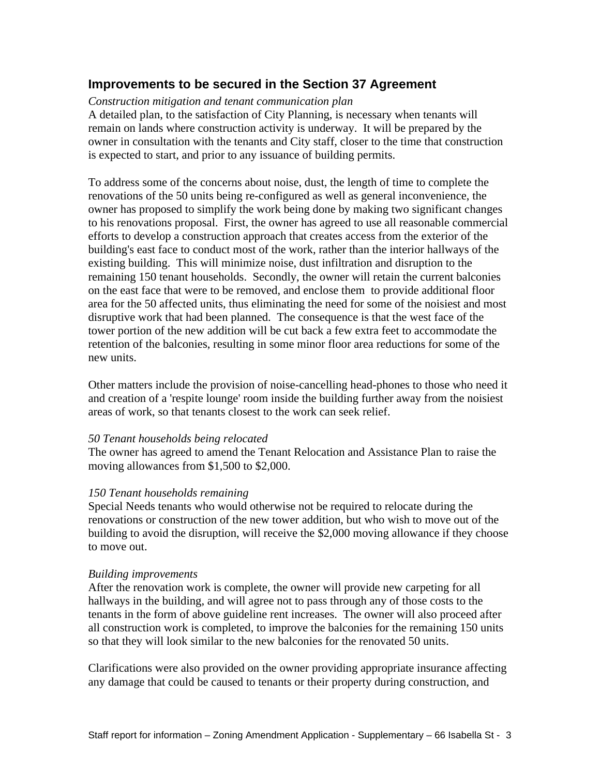### **Improvements to be secured in the Section 37 Agreement**

#### *Construction mitigation and tenant communication plan*

A detailed plan, to the satisfaction of City Planning, is necessary when tenants will remain on lands where construction activity is underway. It will be prepared by the owner in consultation with the tenants and City staff, closer to the time that construction is expected to start, and prior to any issuance of building permits.

To address some of the concerns about noise, dust, the length of time to complete the renovations of the 50 units being re-configured as well as general inconvenience, the owner has proposed to simplify the work being done by making two significant changes to his renovations proposal. First, the owner has agreed to use all reasonable commercial efforts to develop a construction approach that creates access from the exterior of the building's east face to conduct most of the work, rather than the interior hallways of the existing building. This will minimize noise, dust infiltration and disruption to the remaining 150 tenant households. Secondly, the owner will retain the current balconies on the east face that were to be removed, and enclose them to provide additional floor area for the 50 affected units, thus eliminating the need for some of the noisiest and most disruptive work that had been planned. The consequence is that the west face of the tower portion of the new addition will be cut back a few extra feet to accommodate the retention of the balconies, resulting in some minor floor area reductions for some of the new units.

Other matters include the provision of noise-cancelling head-phones to those who need it and creation of a 'respite lounge' room inside the building further away from the noisiest areas of work, so that tenants closest to the work can seek relief.

#### *50 Tenant households being relocated*

The owner has agreed to amend the Tenant Relocation and Assistance Plan to raise the moving allowances from \$1,500 to \$2,000.

#### *150 Tenant households remaining*

Special Needs tenants who would otherwise not be required to relocate during the renovations or construction of the new tower addition, but who wish to move out of the building to avoid the disruption, will receive the \$2,000 moving allowance if they choose to move out.

#### *Building improvements*

After the renovation work is complete, the owner will provide new carpeting for all hallways in the building, and will agree not to pass through any of those costs to the tenants in the form of above guideline rent increases. The owner will also proceed after all construction work is completed, to improve the balconies for the remaining 150 units so that they will look similar to the new balconies for the renovated 50 units.

Clarifications were also provided on the owner providing appropriate insurance affecting any damage that could be caused to tenants or their property during construction, and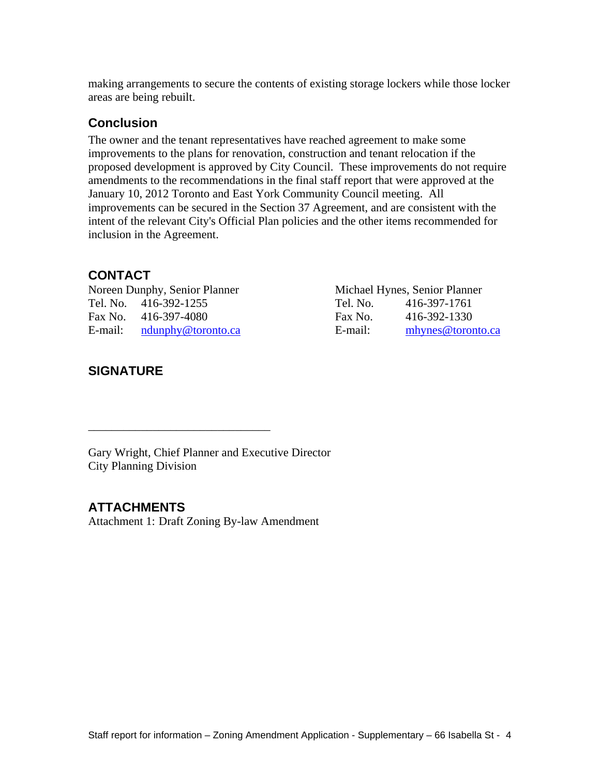making arrangements to secure the contents of existing storage lockers while those locker areas are being rebuilt.

### **Conclusion**

The owner and the tenant representatives have reached agreement to make some improvements to the plans for renovation, construction and tenant relocation if the proposed development is approved by City Council. These improvements do not require amendments to the recommendations in the final staff report that were approved at the January 10, 2012 Toronto and East York Community Council meeting. All improvements can be secured in the Section 37 Agreement, and are consistent with the intent of the relevant City's Official Plan policies and the other items recommended for inclusion in the Agreement.

### **CONTACT**

Noreen Dunphy, Senior Planner Michael Hynes, Senior Planner

### **SIGNATURE**

Tel. No. 416-392-1255 Tel. No. 416-397-1761 Fax No. 416-397-4080 Fax No. 416-392-1330 E-mail: notail: notail: mail: mhynes@toronto.ca entity mail: mhynes@toronto.ca entity mail: mhynes@toronto.ca

 $\overline{\phantom{a}}$  , we are the contract of the contract of the contract of the contract of the contract of the contract of the contract of the contract of the contract of the contract of the contract of the contract of the cont

Gary Wright, Chief Planner and Executive Director City Planning Division

### **ATTACHMENTS**

Attachment 1: Draft Zoning By-law Amendment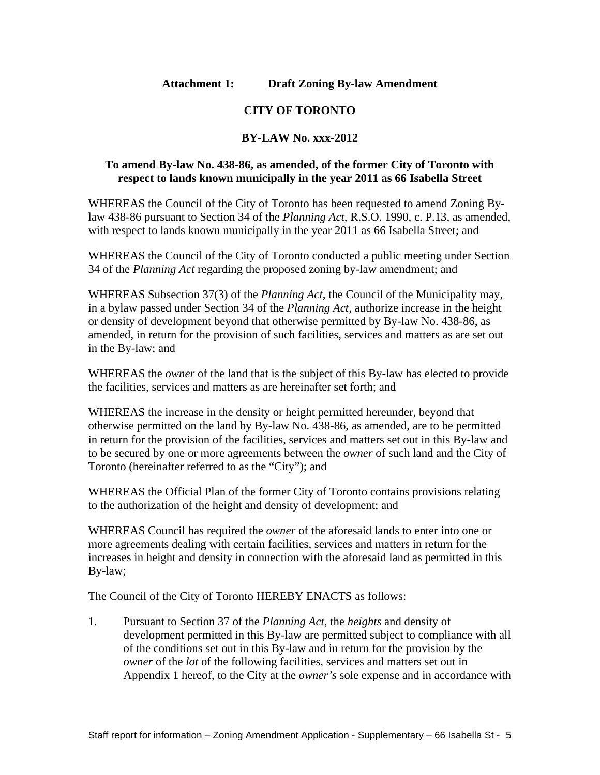### **Attachment 1: Draft Zoning By-law Amendment**

### **CITY OF TORONTO**

#### **BY-LAW No. xxx-2012**

#### **To amend By-law No. 438-86, as amended, of the former City of Toronto with respect to lands known municipally in the year 2011 as 66 Isabella Street**

WHEREAS the Council of the City of Toronto has been requested to amend Zoning Bylaw 438-86 pursuant to Section 34 of the *Planning Act*, R.S.O. 1990, c. P.13, as amended, with respect to lands known municipally in the year 2011 as 66 Isabella Street; and

WHEREAS the Council of the City of Toronto conducted a public meeting under Section 34 of the *Planning Act* regarding the proposed zoning by-law amendment; and

WHEREAS Subsection 37(3) of the *Planning Act,* the Council of the Municipality may, in a bylaw passed under Section 34 of the *Planning Act,* authorize increase in the height or density of development beyond that otherwise permitted by By-law No. 438-86, as amended, in return for the provision of such facilities, services and matters as are set out in the By-law; and

WHEREAS the *owner* of the land that is the subject of this By-law has elected to provide the facilities, services and matters as are hereinafter set forth; and

WHEREAS the increase in the density or height permitted hereunder, beyond that otherwise permitted on the land by By-law No. 438-86, as amended, are to be permitted in return for the provision of the facilities, services and matters set out in this By-law and to be secured by one or more agreements between the *owner* of such land and the City of Toronto (hereinafter referred to as the "City"); and

WHEREAS the Official Plan of the former City of Toronto contains provisions relating to the authorization of the height and density of development; and

WHEREAS Council has required the *owner* of the aforesaid lands to enter into one or more agreements dealing with certain facilities, services and matters in return for the increases in height and density in connection with the aforesaid land as permitted in this By-law;

The Council of the City of Toronto HEREBY ENACTS as follows:

1. Pursuant to Section 37 of the *Planning Act,* the *heights* and density of development permitted in this By-law are permitted subject to compliance with all of the conditions set out in this By-law and in return for the provision by the *owner* of the *lot* of the following facilities, services and matters set out in Appendix 1 hereof, to the City at the *owner's* sole expense and in accordance with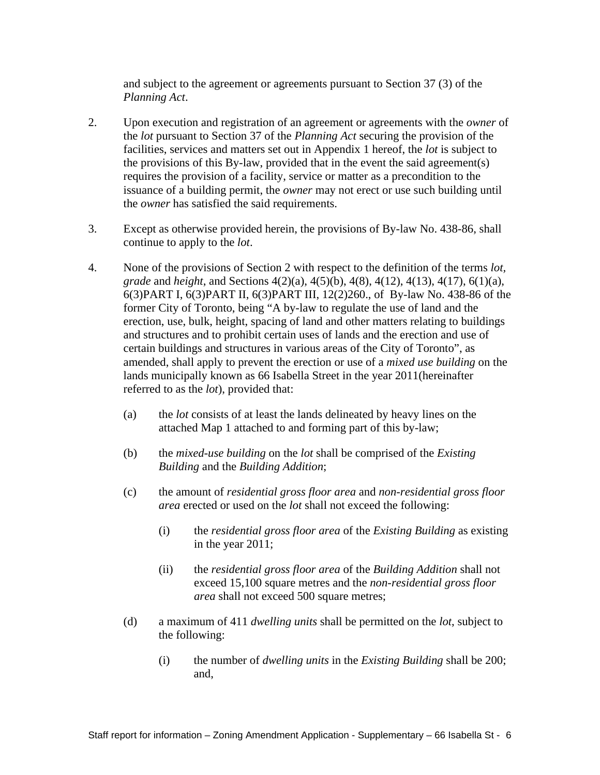and subject to the agreement or agreements pursuant to Section 37 (3) of the *Planning Act*.

- 2. Upon execution and registration of an agreement or agreements with the *owner* of the *lot* pursuant to Section 37 of the *Planning Act* securing the provision of the facilities, services and matters set out in Appendix 1 hereof, the *lot* is subject to the provisions of this By-law, provided that in the event the said agreement(s) requires the provision of a facility, service or matter as a precondition to the issuance of a building permit, the *owner* may not erect or use such building until the *owner* has satisfied the said requirements.
- 3. Except as otherwise provided herein, the provisions of By-law No. 438-86, shall continue to apply to the *lot*.
- 4. None of the provisions of Section 2 with respect to the definition of the terms *lot, grade* and *height*, and Sections 4(2)(a), 4(5)(b), 4(8), 4(12), 4(13), 4(17), 6(1)(a), 6(3)PART I, 6(3)PART II, 6(3)PART III, 12(2)260., of By-law No. 438-86 of the former City of Toronto, being "A by-law to regulate the use of land and the erection, use, bulk, height, spacing of land and other matters relating to buildings and structures and to prohibit certain uses of lands and the erection and use of certain buildings and structures in various areas of the City of Toronto", as amended, shall apply to prevent the erection or use of a *mixed use building* on the lands municipally known as 66 Isabella Street in the year 2011(hereinafter referred to as the *lot*), provided that:
	- (a) the *lot* consists of at least the lands delineated by heavy lines on the attached Map 1 attached to and forming part of this by-law;
	- (b) the *mixed-use building* on the *lot* shall be comprised of the *Existing Building* and the *Building Addition*;
	- (c) the amount of *residential gross floor area* and *non-residential gross floor area* erected or used on the *lot* shall not exceed the following:
		- (i) the *residential gross floor area* of the *Existing Building* as existing in the year 2011;
		- (ii) the *residential gross floor area* of the *Building Addition* shall not exceed 15,100 square metres and the *non-residential gross floor area* shall not exceed 500 square metres;
	- (d) a maximum of 411 *dwelling units* shall be permitted on the *lot*, subject to the following:
		- (i) the number of *dwelling units* in the *Existing Building* shall be 200; and,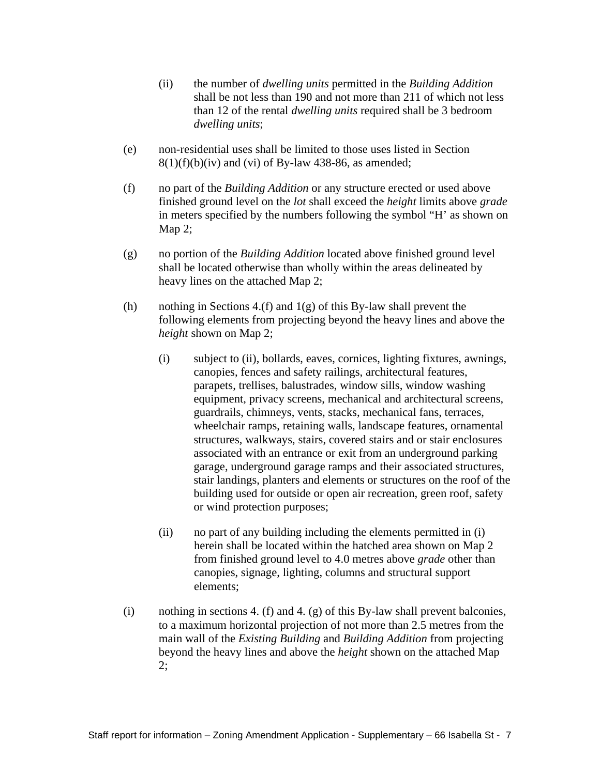- (ii) the number of *dwelling units* permitted in the *Building Addition* shall be not less than 190 and not more than 211 of which not less than 12 of the rental *dwelling units* required shall be 3 bedroom *dwelling units*;
- (e) non-residential uses shall be limited to those uses listed in Section  $8(1)(f)(b)(iv)$  and (vi) of By-law 438-86, as amended;
- (f) no part of the *Building Addition* or any structure erected or used above finished ground level on the *lot* shall exceed the *height* limits above *grade* in meters specified by the numbers following the symbol "H' as shown on Map 2;
- (g) no portion of the *Building Addition* located above finished ground level shall be located otherwise than wholly within the areas delineated by heavy lines on the attached Map 2;
- (h) nothing in Sections 4.(f) and  $1(g)$  of this By-law shall prevent the following elements from projecting beyond the heavy lines and above the *height* shown on Map 2;<br>(i) subject to (ii), bollards, eaves, cornices, lighting fixtures, awnings,
	- canopies, fences and safety railings, architectural features, parapets, trellises, balustrades, window sills, window washing equipment, privacy screens, mechanical and architectural screens, guardrails, chimneys, vents, stacks, mechanical fans, terraces, wheelchair ramps, retaining walls, landscape features, ornamental structures, walkways, stairs, covered stairs and or stair enclosures associated with an entrance or exit from an underground parking garage, underground garage ramps and their associated structures, stair landings, planters and elements or structures on the roof of the building used for outside or open air recreation, green roof, safety or wind protection purposes;
	- (ii) no part of any building including the elements permitted in (i) herein shall be located within the hatched area shown on Map 2 from finished ground level to 4.0 metres above *grade* other than canopies, signage, lighting, columns and structural support elements; which is a set of the set of the set of the set of the set of the set of the set of the set of the set of the set of the set of the set of the set of the set of the set of the set of the set of the set of the set
- (i) nothing in sections 4. (f) and 4. (g) of this By-law shall prevent balconies, to a maximum horizontal projection of not more than 2.5 metres from the main wall of the *Existing Building* and *Building Addition* from projecting beyond the heavy lines and above the *height* shown on the attached Map 2;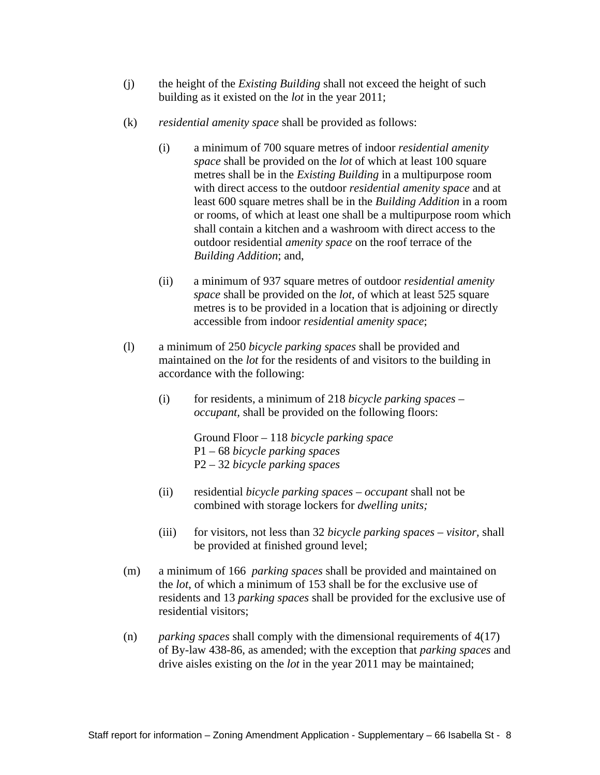- (j) the height of the *Existing Building* shall not exceed the height of such building as it existed on the *lot* in the year 2011;
- (k) *residential amenity space* shall be provided as follows:
	- (i) a minimum of 700 square metres of indoor *residential amenity space* shall be provided on the *lot* of which at least 100 square metres shall be in the *Existing Building* in a multipurpose room with direct access to the outdoor *residential amenity space* and at least 600 square metres shall be in the *Building Addition* in a room or rooms, of which at least one shall be a multipurpose room which shall contain a kitchen and a washroom with direct access to the outdoor residential *amenity space* on the roof terrace of the *Building Addition*; and,
	- (ii) a minimum of 937 square metres of outdoor *residential amenity space* shall be provided on the *lot*, of which at least 525 square metres is to be provided in a location that is adjoining or directly accessible from indoor *residential amenity space*;
- (l) a minimum of 250 *bicycle parking spaces* shall be provided and maintained on the *lot* for the residents of and visitors to the building in accordance with the following:
	- (i) for residents, a minimum of 218 *bicycle parking spaces – occupant,* shall be provided on the following floors:

Ground Floor – 118 *bicycle parking space* P1 – 68 *bicycle parking spaces* P2 – 32 *bicycle parking spaces*

- (ii) residential *bicycle parking spaces – occupant* shall not be combined with storage lockers for *dwelling units;*
- (iii) for visitors, not less than 32 *bicycle parking spaces – visitor,* shall be provided at finished ground level;
- (m) a minimum of 166 *parking spaces* shall be provided and maintained on the *lot*, of which a minimum of 153 shall be for the exclusive use of residents and 13 *parking spaces* shall be provided for the exclusive use of residential visitors;
- (n) *parking spaces* shall comply with the dimensional requirements of 4(17) of By-law 438-86, as amended; with the exception that *parking spaces* and drive aisles existing on the *lot* in the year 2011 may be maintained;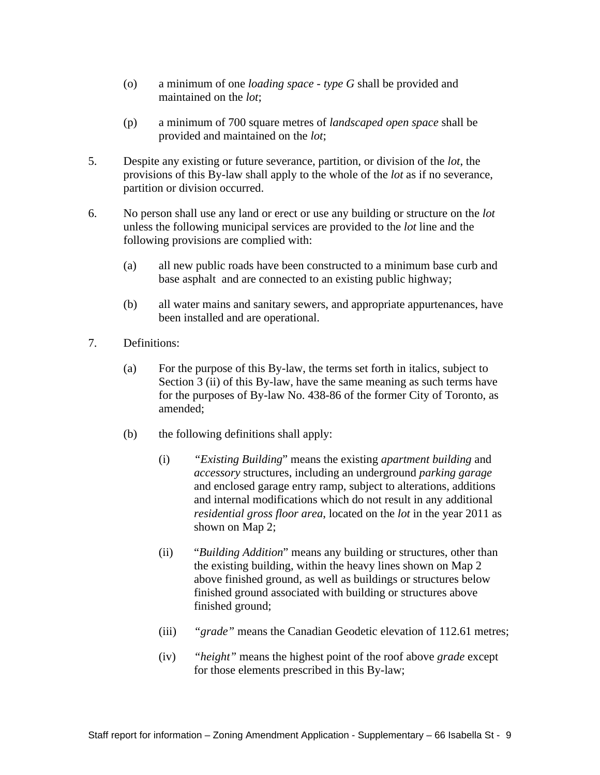- (o) a minimum of one *loading space - type G* shall be provided and maintained on the *lot*;
- (p) a minimum of 700 square metres of *landscaped open space* shall be provided and maintained on the *lot*;
- 5. Despite any existing or future severance, partition, or division of the *lot*, the provisions of this By-law shall apply to the whole of the *lot* as if no severance, partition or division occurred.
- 6. No person shall use any land or erect or use any building or structure on the *lot*  unless the following municipal services are provided to the *lot* line and the following provisions are complied with:
	- (a) all new public roads have been constructed to a minimum base curb and base asphalt and are connected to an existing public highway;
	- (b) all water mains and sanitary sewers, and appropriate appurtenances, have been installed and are operational.
- 7. Definitions:
	- (a) For the purpose of this By-law, the terms set forth in italics, subject to Section 3 (ii) of this By-law, have the same meaning as such terms have for the purposes of By-law No. 438-86 of the former City of Toronto, as amended; the contract of the contract of the contract of the contract of the contract of the contract of the contract of the contract of the contract of the contract of the contract of the contract of the contract of the c
	- (b) the following definitions shall apply:
		- (i) *"Existing Building*" means the existing *apartment building* and *accessory* structures, including an underground *parking garage* and enclosed garage entry ramp, subject to alterations, additions and internal modifications which do not result in any additional *residential gross floor area*, located on the *lot* in the year 2011 as shown on Map 2;
		- (ii) "*Building Addition*" means any building or structures, other than the existing building, within the heavy lines shown on Map 2 above finished ground, as well as buildings or structures below finished ground associated with building or structures above finished ground;
		- (iii) *"grade"* means the Canadian Geodetic elevation of 112.61 metres;
		- (iv) *"height"* means the highest point of the roof above *grade* except for those elements prescribed in this By-law;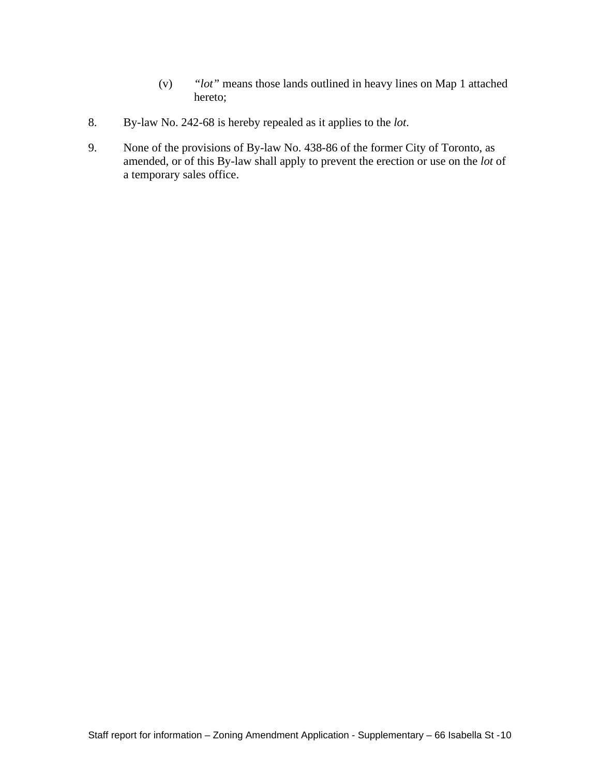- (v) *"lot"* means those lands outlined in heavy lines on Map 1 attached hereto;
- 8. By-law No. 242-68 is hereby repealed as it applies to the *lot*.
- 9. None of the provisions of By-law No. 438-86 of the former City of Toronto, as amended, or of this By-law shall apply to prevent the erection or use on the *lot* of a temporary sales office.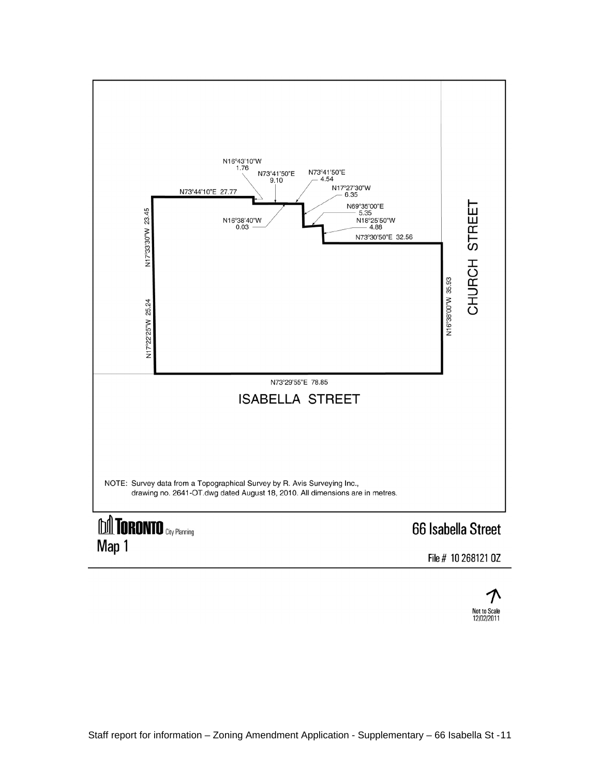

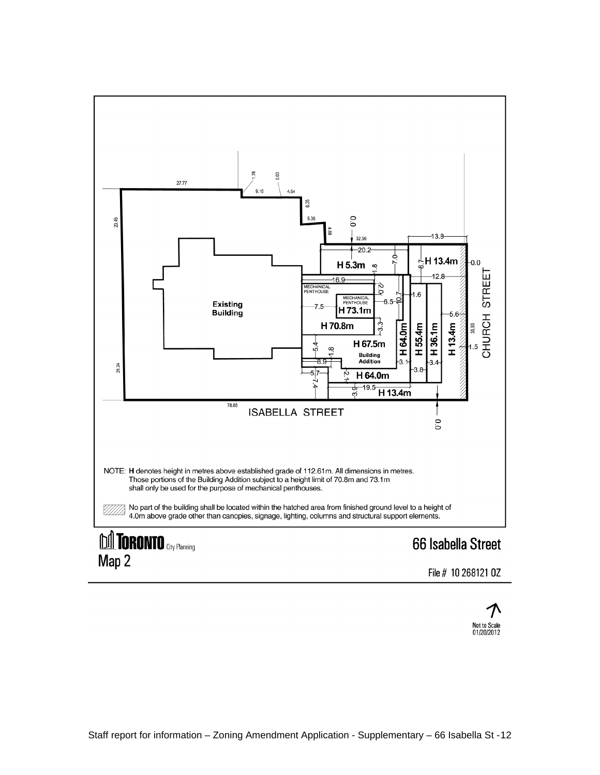

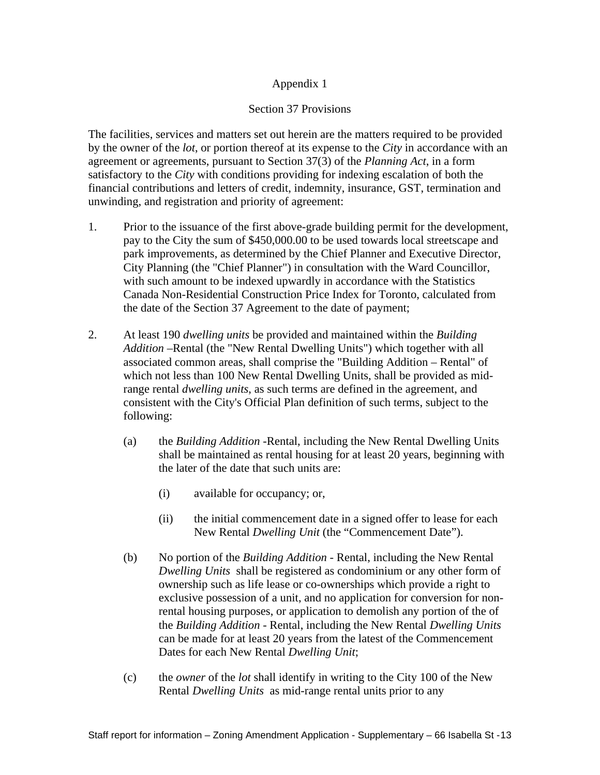### Appendix 1

### Section 37 Provisions

The facilities, services and matters set out herein are the matters required to be provided by the owner of the *lot*, or portion thereof at its expense to the *City* in accordance with an agreement or agreements, pursuant to Section 37(3) of the *Planning Act*, in a form satisfactory to the *City* with conditions providing for indexing escalation of both the financial contributions and letters of credit, indemnity, insurance, GST, termination and unwinding, and registration and priority of agreement:

- 1. Prior to the issuance of the first above-grade building permit for the development, pay to the City the sum of \$450,000.00 to be used towards local streetscape and park improvements, as determined by the Chief Planner and Executive Director, City Planning (the "Chief Planner") in consultation with the Ward Councillor, with such amount to be indexed upwardly in accordance with the Statistics Canada Non-Residential Construction Price Index for Toronto, calculated from the date of the Section 37 Agreement to the date of payment;
- 2. At least 190 *dwelling units* be provided and maintained within the *Building Addition* –Rental (the "New Rental Dwelling Units") which together with all associated common areas, shall comprise the "Building Addition – Rental" of which not less than 100 New Rental Dwelling Units, shall be provided as midrange rental *dwelling units*, as such terms are defined in the agreement, and consistent with the City's Official Plan definition of such terms, subject to the following:
	- (a) the *Building Addition* -Rental, including the New Rental Dwelling Units shall be maintained as rental housing for at least 20 years, beginning with the later of the date that such units are:
		- (i) available for occupancy; or,
		- (ii) the initial commencement date in a signed offer to lease for each New Rental *Dwelling Unit* (the "Commencement Date").
	- (b) No portion of the *Building Addition* Rental, including the New Rental *Dwelling Units* shall be registered as condominium or any other form of ownership such as life lease or co-ownerships which provide a right to exclusive possession of a unit, and no application for conversion for nonrental housing purposes, or application to demolish any portion of the of the *Building Addition* - Rental, including the New Rental *Dwelling Units* can be made for at least 20 years from the latest of the Commencement Dates for each New Rental *Dwelling Unit*;
	- (c) the *owner* of the *lot* shall identify in writing to the City 100 of the New Rental *Dwelling Units* as mid-range rental units prior to any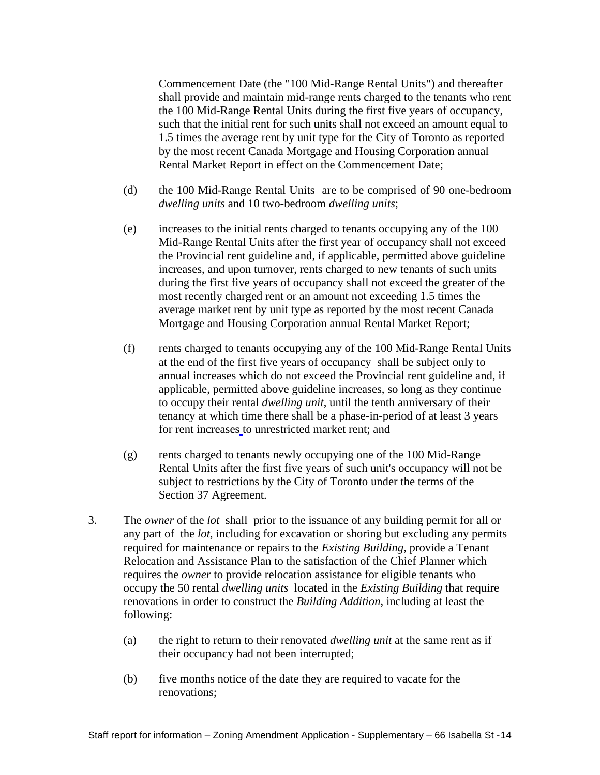Commencement Date (the "100 Mid-Range Rental Units") and thereafter shall provide and maintain mid-range rents charged to the tenants who rent the 100 Mid-Range Rental Units during the first five years of occupancy, such that the initial rent for such units shall not exceed an amount equal to 1.5 times the average rent by unit type for the City of Toronto as reported by the most recent Canada Mortgage and Housing Corporation annual Rental Market Report in effect on the Commencement Date;

- (d) the 100 Mid-Range Rental Units are to be comprised of 90 one-bedroom *dwelling units* and 10 two-bedroom *dwelling units*;
- (e) increases to the initial rents charged to tenants occupying any of the 100 Mid-Range Rental Units after the first year of occupancy shall not exceed the Provincial rent guideline and, if applicable, permitted above guideline increases, and upon turnover, rents charged to new tenants of such units during the first five years of occupancy shall not exceed the greater of the most recently charged rent or an amount not exceeding 1.5 times the average market rent by unit type as reported by the most recent Canada Mortgage and Housing Corporation annual Rental Market Report;
- (f) rents charged to tenants occupying any of the 100 Mid-Range Rental Units at the end of the first five years of occupancy shall be subject only to annual increases which do not exceed the Provincial rent guideline and, if applicable, permitted above guideline increases, so long as they continue to occupy their rental *dwelling unit*, until the tenth anniversary of their tenancy at which time there shall be a phase-in-period of at least 3 years for rent increases to unrestricted market rent; and
- (g) rents charged to tenants newly occupying one of the 100 Mid-Range Rental Units after the first five years of such unit's occupancy will not be subject to restrictions by the City of Toronto under the terms of the Section 37 Agreement.
- 3. The *owner* of the *lot* shall prior to the issuance of any building permit for all or any part of the *lot*, including for excavation or shoring but excluding any permits required for maintenance or repairs to the *Existing Building*, provide a Tenant Relocation and Assistance Plan to the satisfaction of the Chief Planner which requires the *owner* to provide relocation assistance for eligible tenants who occupy the 50 rental *dwelling units* located in the *Existing Building* that require renovations in order to construct the *Building Addition*, including at least the following:
	- (a) the right to return to their renovated *dwelling unit* at the same rent as if their occupancy had not been interrupted;
	- (b) five months notice of the date they are required to vacate for the renovations;